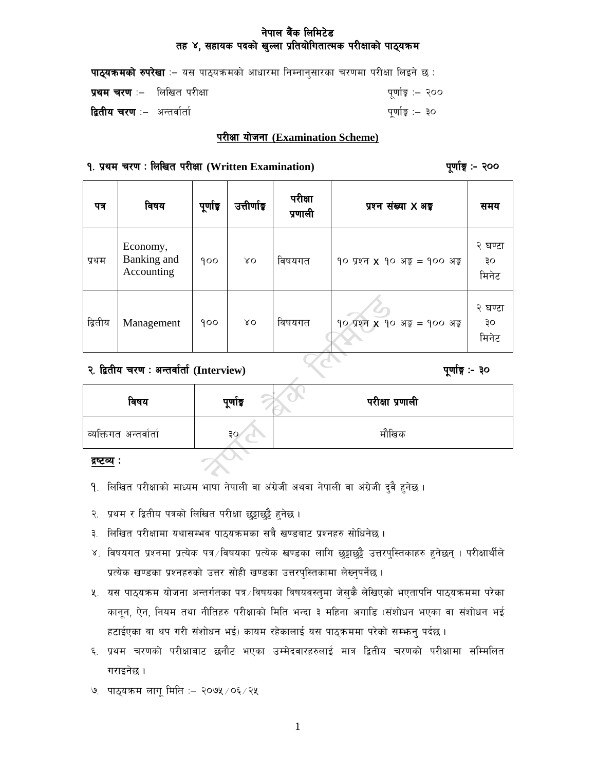# नेपाल बैंक लिमिटेड तह ४, सहायक पदको खुल्ला प्रतियोगितात्मक परीक्षाको पाठ्यक्रम

| <b>पाठ्यक्रमको रुपरेखा</b> ः– यस पाठ्यक्रमको आधारमा निम्नानुसारका चरणमा परीक्षा लिइने छ : |                  |
|-------------------------------------------------------------------------------------------|------------------|
| <b>प्रथम चरण</b> :–   लिखित परीक्षा                                                       | पूर्णाङ्क :– २०० |
| <b>द्वितीय चरण</b> :–  अन्तर्वार्ता                                                       | पर्णाङ्क :– ३०   |

#### परीक्षा योजना (Examination Scheme)

## १. प्रथम चरण: लिखित परीक्षा (Written Examination)

पूर्णाङ्ग :- २००

| पत्र    | विषय                                  | पूर्णाङ्क | उत्तीर्णाड | परीक्षा<br>प्रणाली | प्रश्न संख्या X अ <del>ङ्</del>                           | समय                    |
|---------|---------------------------------------|-----------|------------|--------------------|-----------------------------------------------------------|------------------------|
| प्रथम   | Economy,<br>Banking and<br>Accounting | 900       | λO         | विषयगत             | $90$ प्रश्न <b>x</b> $90$ अङ्क = $900$ अङ्क               | २ घण्टा<br>३०<br>मिनेट |
| द्वितीय | Management                            | 900       | ΧO         | विषयगत             | $90 \text{ year} \times 90 \text{ age} = 900 \text{ age}$ | २ घण्टा<br>३०<br>मिनेट |

२. द्वितीय चरण: अन्तर्वार्ता (Interview)

पूर्णाङ्ग :- ३०

| विषय                   | पूर्णाङ्क | परीक्षा प्रणाली |
|------------------------|-----------|-----------------|
| व्यक्तिगत अन्तर्वार्ता | 30        | मौखिक           |
|                        |           |                 |

द्रष्टव्य :

- 9. लिखित परीक्षाको माध्यम भाषा नेपाली वा अंग्रेजी अथवा नेपाली वा अंग्रेजी दुवै हुनेछ ।
- २. प्रथम र द्वितीय पत्रको लिखित परीक्षा छुट्टाछुट्टै हुनेछ ।
- ३. लिखित परीक्षामा यथासम्भव पाठ्यक्रमका सबै खण्डबाट प्रश्नहरु सोधिनेछ ।
- ४. विषयगत प्रश्नमा प्रत्येक पत्र ∕विषयका प्रत्येक खण्डका लागि छुट्टाछुट्टै उत्तरपुस्तिकाहरु हुनेछन् । परीक्षार्थीले प्रत्येक खण्डका प्रश्नहरुको उत्तर सोही खण्डका उत्तरपुस्तिकामा लेख्नुपर्नेछ ।
- ४. यस पाठ्यक्रम योजना अन्तर्गतका पत्र∕विषयका विषयवस्तुमा जेसुकै लेखिएको भएतापनि पाठ्यक्रममा परेका कानून, ऐन, नियम तथा नीतिहरु परीक्षाको मिति भन्दा ३ महिना अगाडि (संशोधन भएका वा संशोधन भई हटाईएका वा थप गरी संशोधन भई) कायम रहेकालाई यस पाठ्कममा परेको सम्भन् पर्दछ ।
- ६. प्रथम चरणको परीक्षाबाट छनौट भएका उम्मेदवारहरुलाई मात्र द्वितीय चरणको परीक्षामा सम्मिलित गराइनेछ ।
- ७. पाठ्यक्रम लागू मिति :- २०७५ / ०६ / २५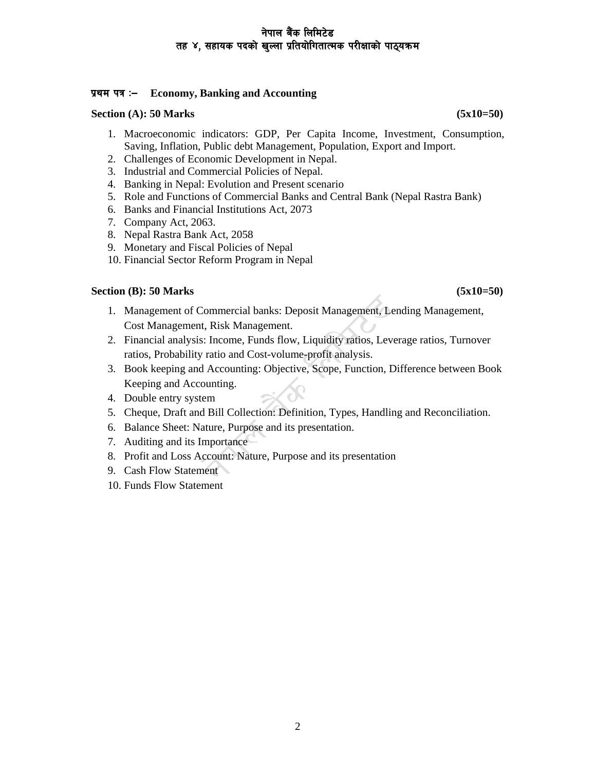## नेपाल बैंक लिमिटेड तह ४, सहायक पदको खल्ला प्रतियोगितात्मक परीक्षाको पाठ्यक्रम

## **k|yd kq M— Economy, Banking and Accounting**

#### **Section (A): 50 Marks** (5x10=50)

- 1. Macroeconomic indicators: GDP, Per Capita Income, Investment, Consumption, Saving, Inflation, Public debt Management, Population, Export and Import.
- 2. Challenges of Economic Development in Nepal.
- 3. Industrial and Commercial Policies of Nepal.
- 4. Banking in Nepal: Evolution and Present scenario
- 5. Role and Functions of Commercial Banks and Central Bank (Nepal Rastra Bank)
- 6. Banks and Financial Institutions Act, 2073
- 7. Company Act, 2063.
- 8. Nepal Rastra Bank Act, 2058
- 9. Monetary and Fiscal Policies of Nepal
- 10. Financial Sector Reform Program in Nepal

## **Section (B): 50 Marks** (5x10=50)

- 1. Management of Commercial banks: Deposit Management, Lending Management, Cost Management, Risk Management.
- 2. Financial analysis: Income, Funds flow, Liquidity ratios, Leverage ratios, Turnover ratios, Probability ratio and Cost-volume-profit analysis.
- 3. Book keeping and Accounting: Objective, Scope, Function, Difference between Book Keeping and Accounting.
- 4. Double entry system
- 5. Cheque, Draft and Bill Collection: Definition, Types, Handling and Reconciliation.
- 6. Balance Sheet: Nature, Purpose and its presentation.
- 7. Auditing and its Importance
- 8. Profit and Loss Account: Nature, Purpose and its presentation
- 9. Cash Flow Statement
- 10. Funds Flow Statement

2